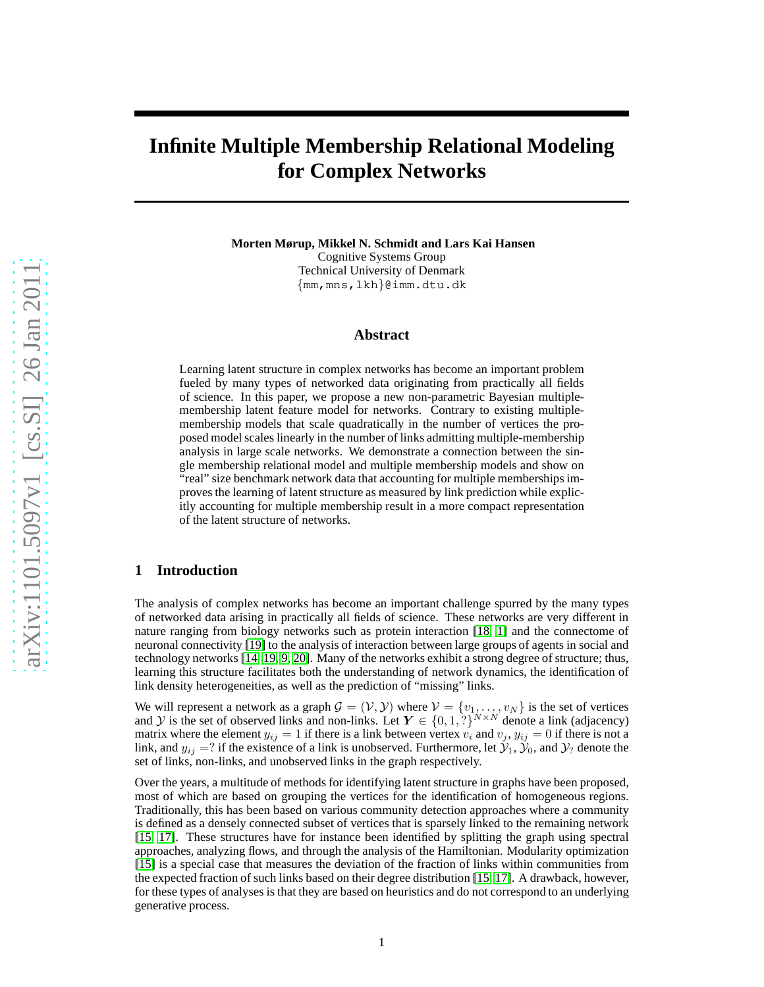# **Infinite Multiple Membership Relational Modeling for Complex Networks**

**Morten Mørup, Mikkel N. Schmidt and Lars Kai Hansen** Cognitive Systems Group

Technical University of Denmark {mm,mns,lkh}@imm.dtu.dk

## **Abstract**

Learning latent structure in complex networks has become an important problem fueled by many types of networked data originating from practically all fields of science. In this paper, we propose a new non-parametric Bayesian multiplemembership latent feature model for networks. Contrary to existing multiplemembership models that scale quadratically in the number of vertices the proposed model scales linearly in the number of links admitting multiple-membership analysis in large scale networks. We demonstrate a connection between the single membership relational model and multiple membership models and show on "real" size benchmark network data that accounting for multiple memberships improves the learning of latent structure as measured by link prediction while explicitly accounting for multiple membership result in a more compact representation of the latent structure of networks.

## **1 Introduction**

The analysis of complex networks has become an important challenge spurred by the many types of networked data arising in practically all fields of science. These networks are very different in nature ranging from biology networks such as protein interaction [\[18,](#page-7-0) [1\]](#page-7-1) and the connectome of neuronal connectivity [\[19\]](#page-7-2) to the analysis of interaction between large groups of agents in social and technology networks [\[14,](#page-7-3) [19,](#page-7-2) [9,](#page-7-4) [20\]](#page-7-5). Many of the networks exhibit a strong degree of structure; thus, learning this structure facilitates both the understanding of network dynamics, the identification of link density heterogeneities, as well as the prediction of "missing" links.

We will represent a network as a graph  $\mathcal{G} = (\mathcal{V}, \mathcal{Y})$  where  $\mathcal{V} = \{v_1, \dots, v_N\}$  is the set of vertices and Y is the set of observed links and non-links. Let  $Y \in \{0,1,?\}^{N \times N}$  denote a link (adjacency) matrix where the element  $y_{ij} = 1$  if there is a link between vertex  $v_i$  and  $v_j$ ,  $y_{ij} = 0$  if there is not a link, and  $y_{ij} = ?$  if the existence of a link is unobserved. Furthermore, let  $\mathcal{Y}_1, \mathcal{Y}_0$ , and  $\mathcal{Y}_?$  denote the set of links, non-links, and unobserved links in the graph respectively.

Over the years, a multitude of methods for identifying latent structure in graphs have been proposed, most of which are based on grouping the vertices for the identification of homogeneous regions. Traditionally, this has been based on various community detection approaches where a community is defined as a densely connected subset of vertices that is sparsely linked to the remaining network [\[15,](#page-7-6) [17\]](#page-7-7). These structures have for instance been identified by splitting the graph using spectral approaches, analyzing flows, and through the analysis of the Hamiltonian. Modularity optimization [\[15\]](#page-7-6) is a special case that measures the deviation of the fraction of links within communities from the expected fraction of such links based on their degree distribution [\[15,](#page-7-6) [17\]](#page-7-7). A drawback, however, for these types of analyses is that they are based on heuristics and do not correspond to an underlying generative process.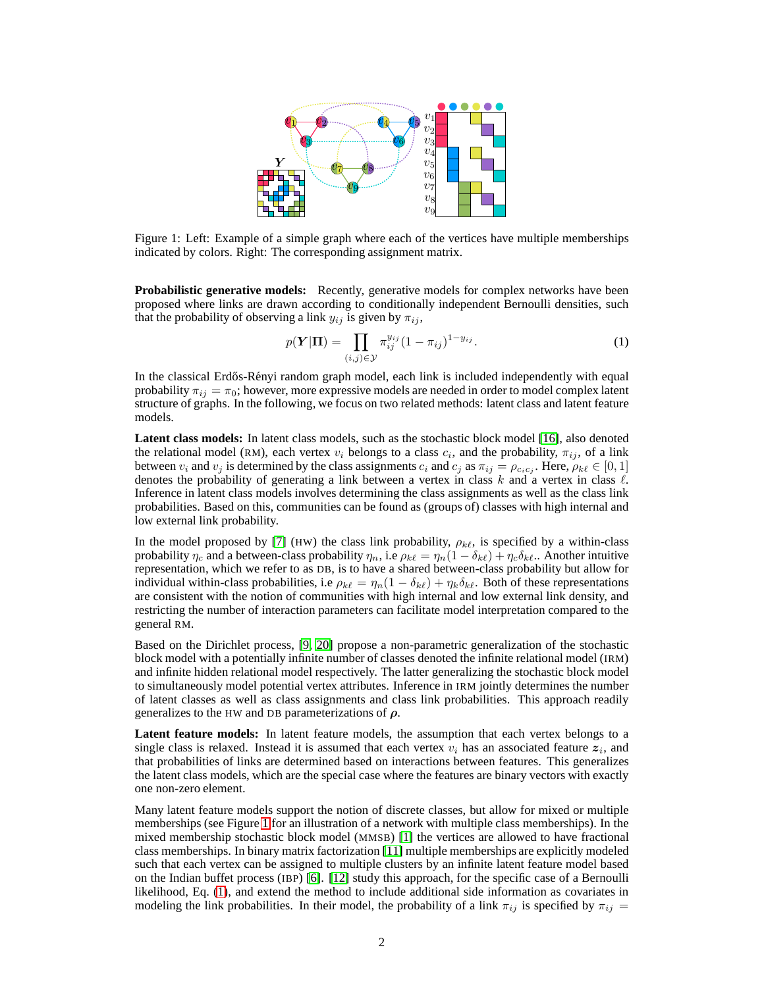

<span id="page-1-0"></span>Figure 1: Left: Example of a simple graph where each of the vertices have multiple memberships indicated by colors. Right: The corresponding assignment matrix.

**Probabilistic generative models:** Recently, generative models for complex networks have been proposed where links are drawn according to conditionally independent Bernoulli densities, such that the probability of observing a link  $y_{ij}$  is given by  $\pi_{ij}$ ,

<span id="page-1-1"></span>
$$
p(\mathbf{Y}|\mathbf{\Pi}) = \prod_{(i,j)\in\mathcal{Y}} \pi_{ij}^{y_{ij}} (1 - \pi_{ij})^{1 - y_{ij}}.
$$
 (1)

In the classical Erdős-Rényi random graph model, each link is included independently with equal probability  $\pi_{ij} = \pi_0$ ; however, more expressive models are needed in order to model complex latent structure of graphs. In the following, we focus on two related methods: latent class and latent feature models.

**Latent class models:** In latent class models, such as the stochastic block model [\[16\]](#page-7-8), also denoted the relational model (RM), each vertex  $v_i$  belongs to a class  $c_i$ , and the probability,  $\pi_{ij}$ , of a link between  $v_i$  and  $v_j$  is determined by the class assignments  $c_i$  and  $c_j$  as  $\pi_{ij} = \rho_{c_i c_j}$ . Here,  $\rho_{k\ell} \in [0,1]$ denotes the probability of generating a link between a vertex in class  $k$  and a vertex in class  $\ell$ . Inference in latent class models involves determining the class assignments as well as the class link probabilities. Based on this, communities can be found as (groups of) classes with high internal and low external link probability.

In the model proposed by [\[7\]](#page-7-9) (HW) the class link probability,  $\rho_{k\ell}$ , is specified by a within-class probability  $\eta_c$  and a between-class probability  $\eta_n$ , i.e  $\rho_{k\ell} = \eta_n(1 - \delta_{k\ell}) + \eta_c\delta_{k\ell}$ .. Another intuitive representation, which we refer to as DB, is to have a shared between-class probability but allow for individual within-class probabilities, i.e  $\rho_{k\ell} = \eta_n(1 - \delta_{k\ell}) + \eta_k \delta_{k\ell}$ . Both of these representations are consistent with the notion of communities with high internal and low external link density, and restricting the number of interaction parameters can facilitate model interpretation compared to the general RM.

Based on the Dirichlet process, [\[9,](#page-7-4) [20\]](#page-7-5) propose a non-parametric generalization of the stochastic block model with a potentially infinite number of classes denoted the infinite relational model (IRM) and infinite hidden relational model respectively. The latter generalizing the stochastic block model to simultaneously model potential vertex attributes. Inference in IRM jointly determines the number of latent classes as well as class assignments and class link probabilities. This approach readily generalizes to the HW and DB parameterizations of  $\rho$ .

**Latent feature models:** In latent feature models, the assumption that each vertex belongs to a single class is relaxed. Instead it is assumed that each vertex  $v_i$  has an associated feature  $z_i$ , and that probabilities of links are determined based on interactions between features. This generalizes the latent class models, which are the special case where the features are binary vectors with exactly one non-zero element.

Many latent feature models support the notion of discrete classes, but allow for mixed or multiple memberships (see Figure [1](#page-1-0) for an illustration of a network with multiple class memberships). In the mixed membership stochastic block model (MMSB) [\[1\]](#page-7-1) the vertices are allowed to have fractional class memberships. In binary matrix factorization [\[11\]](#page-7-10) multiple memberships are explicitly modeled such that each vertex can be assigned to multiple clusters by an infinite latent feature model based on the Indian buffet process (IBP) [\[6\]](#page-7-11). [\[12\]](#page-7-12) study this approach, for the specific case of a Bernoulli likelihood, Eq. [\(1\)](#page-1-1), and extend the method to include additional side information as covariates in modeling the link probabilities. In their model, the probability of a link  $\pi_{ij}$  is specified by  $\pi_{ij}$  =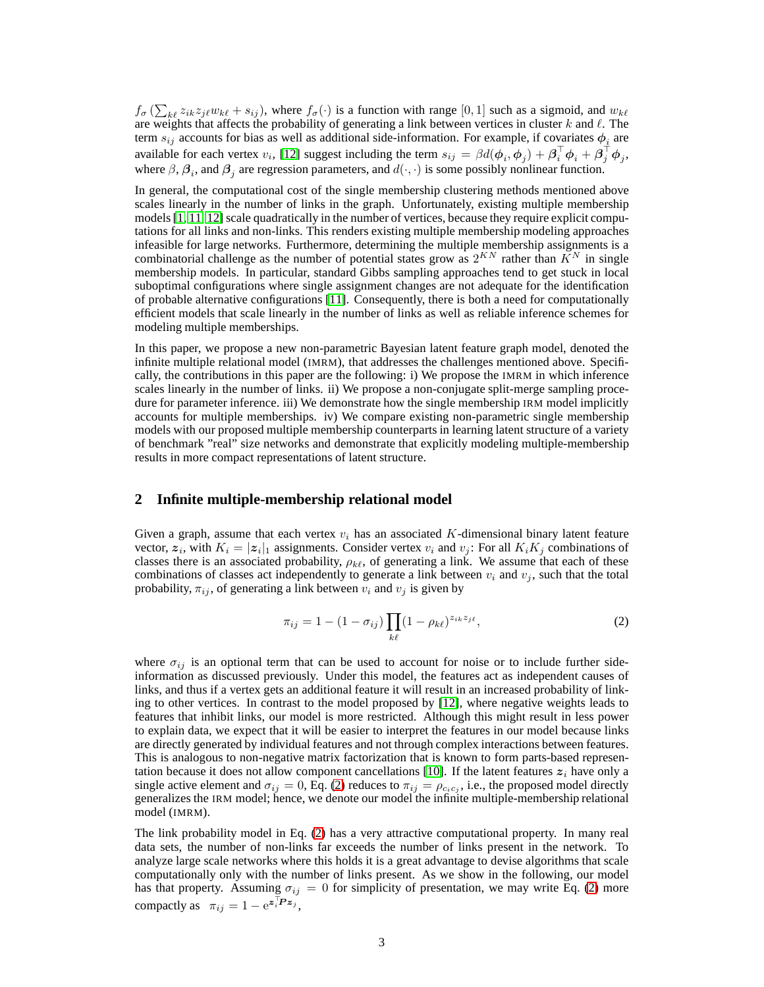$f_{\sigma}$  ( $\sum_{k\ell} z_{ik}z_{j\ell}w_{k\ell} + s_{ij}$ ), where  $f_{\sigma}(\cdot)$  is a function with range [0, 1] such as a sigmoid, and  $w_{k\ell}$ are weights that affects the probability of generating a link between vertices in cluster k and  $\ell$ . The term  $s_{ij}$  accounts for bias as well as additional side-information. For example, if covariates  $\phi_i$  are available for each vertex  $v_i$ , [\[12\]](#page-7-12) suggest including the term  $s_{ij} = \beta d(\phi_i, \phi_j) + \beta_i^{\top} \phi_i + \beta_j^{\top} \phi_j$ , where  $\beta$ ,  $\beta_i$ , and  $\beta_j$  are regression parameters, and  $d(\cdot, \cdot)$  is some possibly nonlinear function.

In general, the computational cost of the single membership clustering methods mentioned above scales linearly in the number of links in the graph. Unfortunately, existing multiple membership models [\[1,](#page-7-1) [11,](#page-7-10) [12\]](#page-7-12) scale quadratically in the number of vertices, because they require explicit computations for all links and non-links. This renders existing multiple membership modeling approaches infeasible for large networks. Furthermore, determining the multiple membership assignments is a combinatorial challenge as the number of potential states grow as  $2^{KN}$  rather than  $K^N$  in single membership models. In particular, standard Gibbs sampling approaches tend to get stuck in local suboptimal configurations where single assignment changes are not adequate for the identification of probable alternative configurations [\[11\]](#page-7-10). Consequently, there is both a need for computationally efficient models that scale linearly in the number of links as well as reliable inference schemes for modeling multiple memberships.

In this paper, we propose a new non-parametric Bayesian latent feature graph model, denoted the infinite multiple relational model (IMRM), that addresses the challenges mentioned above. Specifically, the contributions in this paper are the following: i) We propose the IMRM in which inference scales linearly in the number of links. ii) We propose a non-conjugate split-merge sampling procedure for parameter inference. iii) We demonstrate how the single membership IRM model implicitly accounts for multiple memberships. iv) We compare existing non-parametric single membership models with our proposed multiple membership counterparts in learning latent structure of a variety of benchmark "real" size networks and demonstrate that explicitly modeling multiple-membership results in more compact representations of latent structure.

## **2 Infinite multiple-membership relational model**

Given a graph, assume that each vertex  $v_i$  has an associated K-dimensional binary latent feature vector,  $z_i$ , with  $K_i = |z_i|_1$  assignments. Consider vertex  $v_i$  and  $v_j$ : For all  $K_iK_j$  combinations of classes there is an associated probability,  $\rho_{k\ell}$ , of generating a link. We assume that each of these combinations of classes act independently to generate a link between  $v_i$  and  $v_j$ , such that the total probability,  $\pi_{ij}$ , of generating a link between  $v_i$  and  $v_j$  is given by

<span id="page-2-0"></span>
$$
\pi_{ij} = 1 - (1 - \sigma_{ij}) \prod_{k\ell} (1 - \rho_{k\ell})^{z_{ik}z_{j\ell}}, \tag{2}
$$

where  $\sigma_{ij}$  is an optional term that can be used to account for noise or to include further sideinformation as discussed previously. Under this model, the features act as independent causes of links, and thus if a vertex gets an additional feature it will result in an increased probability of linking to other vertices. In contrast to the model proposed by [\[12\]](#page-7-12), where negative weights leads to features that inhibit links, our model is more restricted. Although this might result in less power to explain data, we expect that it will be easier to interpret the features in our model because links are directly generated by individual features and not through complex interactions between features. This is analogous to non-negative matrix factorization that is known to form parts-based represen-tation because it does not allow component cancellations [\[10\]](#page-7-13). If the latent features  $z_i$  have only a single active element and  $\sigma_{ij} = 0$ , Eq. [\(2\)](#page-2-0) reduces to  $\pi_{ij} = \rho_{c_i c_j}$ , i.e., the proposed model directly generalizes the IRM model; hence, we denote our model the infinite multiple-membership relational model (IMRM).

The link probability model in Eq. [\(2\)](#page-2-0) has a very attractive computational property. In many real data sets, the number of non-links far exceeds the number of links present in the network. To analyze large scale networks where this holds it is a great advantage to devise algorithms that scale computationally only with the number of links present. As we show in the following, our model has that property. Assuming  $\sigma_{ij} = 0$  for simplicity of presentation, we may write Eq. [\(2\)](#page-2-0) more compactly as  $\pi_{ij} = 1 - e^{\mathbf{z}_i^{\top} \mathbf{P} \mathbf{z}_j},$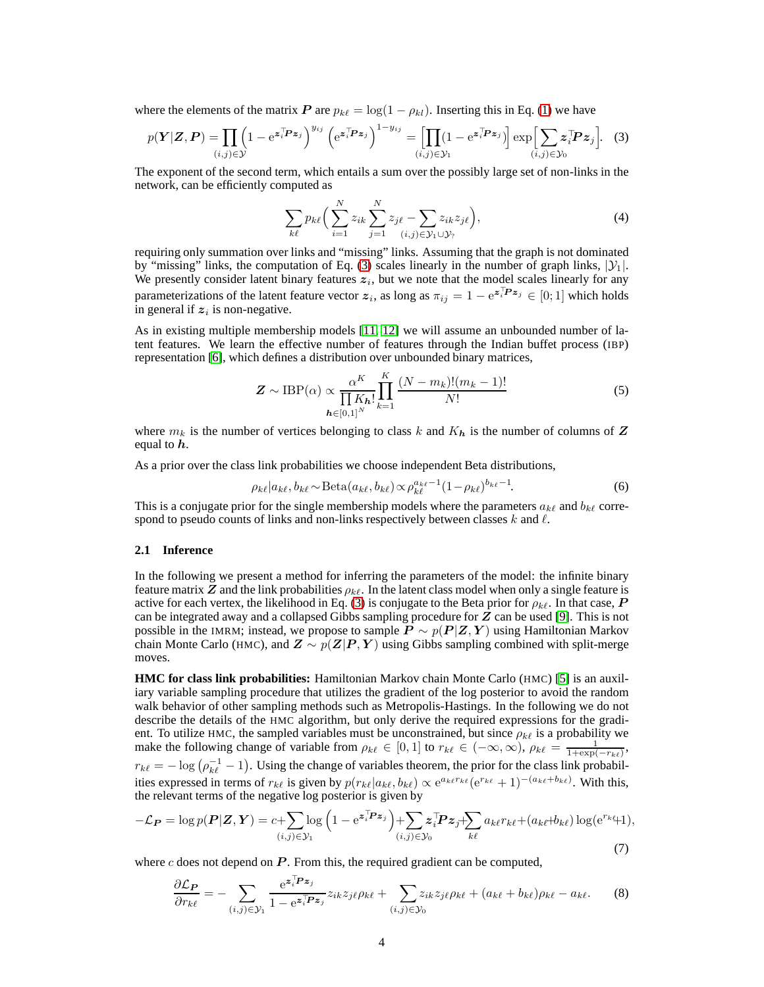where the elements of the matrix P are  $p_{k\ell} = \log(1 - \rho_{k\ell})$ . Inserting this in Eq. [\(1\)](#page-1-1) we have

<span id="page-3-0"></span>
$$
p(\mathbf{Y}|\mathbf{Z},\mathbf{P}) = \prod_{(i,j)\in\mathcal{Y}} \left(1 - e^{\mathbf{z}_i^{\top}\mathbf{P}\mathbf{z}_j}\right)^{y_{ij}} \left(e^{\mathbf{z}_i^{\top}\mathbf{P}\mathbf{z}_j}\right)^{1-y_{ij}} = \prod_{(i,j)\in\mathcal{Y}_1} \left(1 - e^{\mathbf{z}_i^{\top}\mathbf{P}\mathbf{z}_j}\right) \exp\left[\sum_{(i,j)\in\mathcal{Y}_0} \mathbf{z}_i^{\top}\mathbf{P}\mathbf{z}_j\right].
$$
 (3)

The exponent of the second term, which entails a sum over the possibly large set of non-links in the network, can be efficiently computed as

<span id="page-3-1"></span>
$$
\sum_{k\ell} p_{k\ell} \Big( \sum_{i=1}^N z_{ik} \sum_{j=1}^N z_{j\ell} - \sum_{(i,j)\in\mathcal{Y}_1\cup\mathcal{Y}_?} z_{ik} z_{j\ell} \Big), \tag{4}
$$

requiring only summation over links and "missing" links. Assuming that the graph is not dominated by "missing" links, the computation of Eq. [\(3\)](#page-3-0) scales linearly in the number of graph links,  $|\mathcal{Y}_1|$ . We presently consider latent binary features  $z_i$ , but we note that the model scales linearly for any parameterizations of the latent feature vector  $z_i$ , as long as  $\pi_{ij} = 1 - e^{z_i^T P z_j} \in [0, 1]$  which holds in general if  $z_i$  is non-negative.

As in existing multiple membership models [\[11,](#page-7-10) [12\]](#page-7-12) we will assume an unbounded number of latent features. We learn the effective number of features through the Indian buffet process (IBP) representation [\[6\]](#page-7-11), which defines a distribution over unbounded binary matrices,

$$
\mathbf{Z} \sim \text{IBP}(\alpha) \propto \frac{\alpha^K}{\prod_{\mathbf{h} \in [0,1]^N} K} \prod_{k=1}^K \frac{(N - m_k)!(m_k - 1)!}{N!}
$$
(5)

where  $m_k$  is the number of vertices belonging to class k and  $K_h$  is the number of columns of Z equal to  $h$ .

As a prior over the class link probabilities we choose independent Beta distributions,

<span id="page-3-2"></span>
$$
\rho_{k\ell}|a_{k\ell},b_{k\ell}\sim \text{Beta}(a_{k\ell},b_{k\ell})\propto \rho_{k\ell}^{a_{k\ell}-1}(1-\rho_{k\ell})^{b_{k\ell}-1}.
$$
\n(6)

This is a conjugate prior for the single membership models where the parameters  $a_{k\ell}$  and  $b_{k\ell}$  correspond to pseudo counts of links and non-links respectively between classes  $k$  and  $\ell$ .

#### **2.1 Inference**

In the following we present a method for inferring the parameters of the model: the infinite binary feature matrix Z and the link probabilities  $\rho_{k\ell}$ . In the latent class model when only a single feature is active for each vertex, the likelihood in Eq. [\(3\)](#page-3-0) is conjugate to the Beta prior for  $\rho_{k\ell}$ . In that case, P can be integrated away and a collapsed Gibbs sampling procedure for Z can be used [\[9\]](#page-7-4). This is not possible in the IMRM; instead, we propose to sample  $P \sim p(P|Z, Y)$  using Hamiltonian Markov chain Monte Carlo (HMC), and  $Z \sim p(Z|P, Y)$  using Gibbs sampling combined with split-merge moves.

**HMC for class link probabilities:** Hamiltonian Markov chain Monte Carlo (HMC) [\[5\]](#page-7-14) is an auxiliary variable sampling procedure that utilizes the gradient of the log posterior to avoid the random walk behavior of other sampling methods such as Metropolis-Hastings. In the following we do not describe the details of the HMC algorithm, but only derive the required expressions for the gradient. To utilize HMC, the sampled variables must be unconstrained, but since  $\rho_{k\ell}$  is a probability we make the following change of variable from  $\rho_{k\ell} \in [0,1]$  to  $r_{k\ell} \in (-\infty,\infty)$ ,  $\rho_{k\ell} = \frac{1}{1+\exp(-r_{k\ell})}$ ,  $r_{k\ell} = -\log(\rho_{k\ell}^{-1} - 1)$ . Using the change of variables theorem, the prior for the class link probabilities expressed in terms of  $r_{k\ell}$  is given by  $p(r_{k\ell}|a_{k\ell},b_{k\ell}) \propto e^{a_{k\ell}r_{k\ell}}(e^{r_{k\ell}}+1)^{-(a_{k\ell}+b_{k\ell})}$ . With this, the relevant terms of the negative log posterior is given by

$$
-\mathcal{L}_{\boldsymbol{P}} = \log p(\boldsymbol{P}|\boldsymbol{Z}, \boldsymbol{Y}) = c + \sum_{(i,j) \in \mathcal{Y}_1} \log \left( 1 - e^{\boldsymbol{z}_i^{\top} \boldsymbol{P} \boldsymbol{z}_j} \right) + \sum_{(i,j) \in \mathcal{Y}_0} \boldsymbol{z}_i^{\top} \boldsymbol{P} \boldsymbol{z}_j + \sum_{k\ell} a_{k\ell} r_{k\ell} + (a_{k\ell} + b_{k\ell}) \log(e^{r_{k\ell}} + 1),
$$
\n(7)

where  $c$  does not depend on  $P$ . From this, the required gradient can be computed,

$$
\frac{\partial \mathcal{L}_{\mathbf{P}}}{\partial r_{k\ell}} = -\sum_{(i,j)\in\mathcal{Y}_1} \frac{e^{\mathbf{z}_i^{\top}\mathbf{P}\mathbf{z}_j}}{1 - e^{\mathbf{z}_i^{\top}\mathbf{P}\mathbf{z}_j}} z_{ik} z_{j\ell} \rho_{k\ell} + \sum_{(i,j)\in\mathcal{Y}_0} z_{ik} z_{j\ell} \rho_{k\ell} + (a_{k\ell} + b_{k\ell}) \rho_{k\ell} - a_{k\ell}.\tag{8}
$$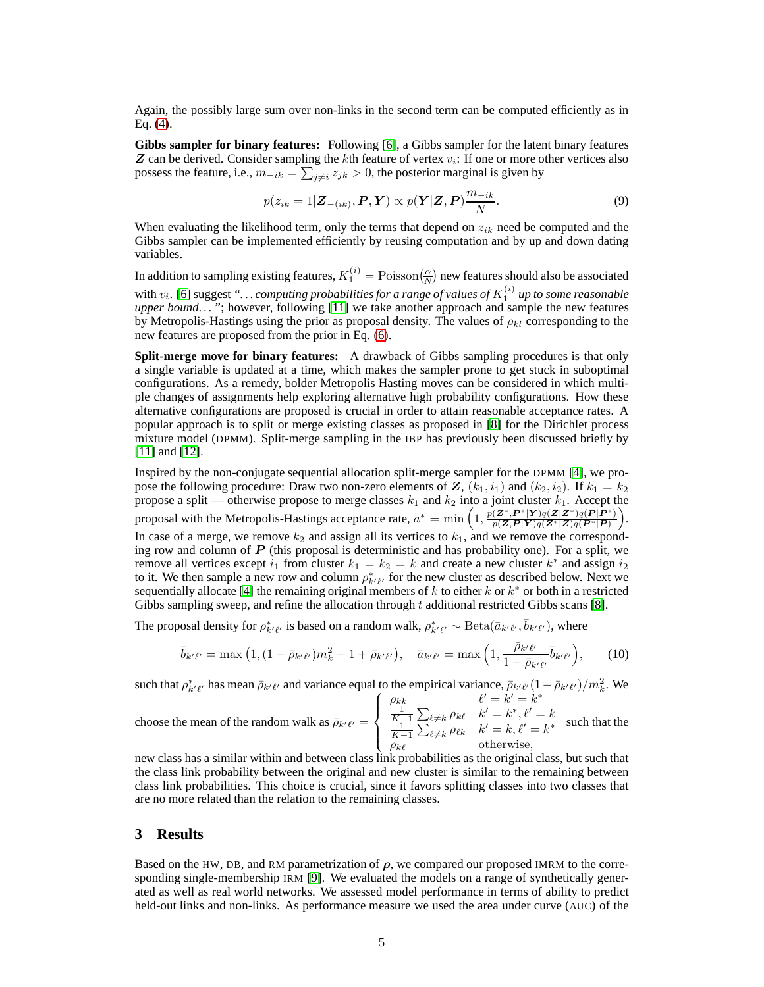Again, the possibly large sum over non-links in the second term can be computed efficiently as in Eq. [\(4\)](#page-3-1).

**Gibbs sampler for binary features:** Following [\[6\]](#page-7-11), a Gibbs sampler for the latent binary features  $\boldsymbol{Z}$  can be derived. Consider sampling the kth feature of vertex  $v_i$ : If one or more other vertices also possess the feature, i.e.,  $m_{-ik} = \sum_{j \neq i} z_{jk} > 0$ , the posterior marginal is given by

$$
p(z_{ik}=1|\mathbf{Z}_{-(ik)}, \mathbf{P}, \mathbf{Y}) \propto p(\mathbf{Y}|\mathbf{Z}, \mathbf{P}) \frac{m_{-ik}}{N}.
$$
\n(9)

When evaluating the likelihood term, only the terms that depend on  $z_{ik}$  need be computed and the Gibbs sampler can be implemented efficiently by reusing computation and by up and down dating variables.

In addition to sampling existing features,  $K_1^{(i)} = \text{Poisson}(\frac{\alpha}{N})$  new features should also be associated with  $v_i$ . [\[6\]](#page-7-11) suggest "... *computing probabilities for a range of values of*  $K_1^{(i)}$  *up to some reasonable upper bound. . . "*; however, following [\[11\]](#page-7-10) we take another approach and sample the new features by Metropolis-Hastings using the prior as proposal density. The values of  $\rho_{kl}$  corresponding to the new features are proposed from the prior in Eq. [\(6\)](#page-3-2).

**Split-merge move for binary features:** A drawback of Gibbs sampling procedures is that only a single variable is updated at a time, which makes the sampler prone to get stuck in suboptimal configurations. As a remedy, bolder Metropolis Hasting moves can be considered in which multiple changes of assignments help exploring alternative high probability configurations. How these alternative configurations are proposed is crucial in order to attain reasonable acceptance rates. A popular approach is to split or merge existing classes as proposed in [\[8\]](#page-7-15) for the Dirichlet process mixture model (DPMM). Split-merge sampling in the IBP has previously been discussed briefly by [\[11\]](#page-7-10) and [\[12\]](#page-7-12).

Inspired by the non-conjugate sequential allocation split-merge sampler for the DPMM [\[4\]](#page-7-16), we propose the following procedure: Draw two non-zero elements of  $Z$ ,  $(k_1, i_1)$  and  $(k_2, i_2)$ . If  $k_1 = k_2$ propose a split — otherwise propose to merge classes  $k_1$  and  $k_2$  into a joint cluster  $k_1$ . Accept the proposal with the Metropolis-Hastings acceptance rate,  $a^* = \min\left(1, \frac{p(Z^*, P^*|Y)q(Z|Z^*)q(P|P^*)}{p(Z, P|Y)q(Z^*|Z)q(P^*|P)}\right)$ . In case of a merge, we remove  $k_2$  and assign all its vertices to  $k_1$ , and we remove the corresponding row and column of  $P$  (this proposal is deterministic and has probability one). For a split, we remove all vertices except  $i_1$  from cluster  $k_1 = k_2 = k$  and create a new cluster  $k^*$  and assign  $i_2$ to it. We then sample a new row and column  $\rho_{k'\ell'}^*$  for the new cluster as described below. Next we sequentially allocate [\[4\]](#page-7-16) the remaining original members of k to either k or  $k^*$  or both in a restricted Gibbs sampling sweep, and refine the allocation through t additional restricted Gibbs scans [\[8\]](#page-7-15).

The proposal density for  $\rho^*_{k'\ell'}$  is based on a random walk,  $\rho^*_{k'\ell'} \sim \text{Beta}(\bar{a}_{k'\ell'}, \bar{b}_{k'\ell'})$ , where

$$
\bar{b}_{k'\ell'} = \max\left(1, \left(1 - \bar{\rho}_{k'\ell'}\right)m_k^2 - 1 + \bar{\rho}_{k'\ell'}\right), \quad \bar{a}_{k'\ell'} = \max\left(1, \frac{\bar{\rho}_{k'\ell'}}{1 - \bar{\rho}_{k'\ell'}}\bar{b}_{k'\ell'}\right),\tag{10}
$$

such that  $\rho_{k' \ell'}^*$  has mean  $\bar{\rho}_{k' \ell'}$  and variance equal to the empirical variance,  $\bar{\rho}_{k' \ell'}(1-\bar{\rho}_{k' \ell'})/m_k^2$ . We

choose the mean of the random walk as  $\bar{\rho}_{k'}e'$  =  $\sqrt{ }$  $\int$  $\overline{\mathcal{L}}$  $\rho_{kk}$   $\ell' = k' = k^*$  $\frac{1}{K-1}\sum_{\ell\neq k}\rho_{k\ell}$   $k'=k^{*},\ell'=k$  $\frac{1}{K-1}\sum_{\ell\neq k}\rho_{\ell k}$   $k'=k, \ell'=k^*$  $\rho_{k\ell}$  otherwise, such that the

new class has a similar within and between class link probabilities as the original class, but such that the class link probability between the original and new cluster is similar to the remaining between class link probabilities. This choice is crucial, since it favors splitting classes into two classes that are no more related than the relation to the remaining classes.

#### **3 Results**

Based on the HW, DB, and RM parametrization of  $\rho$ , we compared our proposed IMRM to the corre-sponding single-membership IRM [\[9\]](#page-7-4). We evaluated the models on a range of synthetically generated as well as real world networks. We assessed model performance in terms of ability to predict held-out links and non-links. As performance measure we used the area under curve (AUC) of the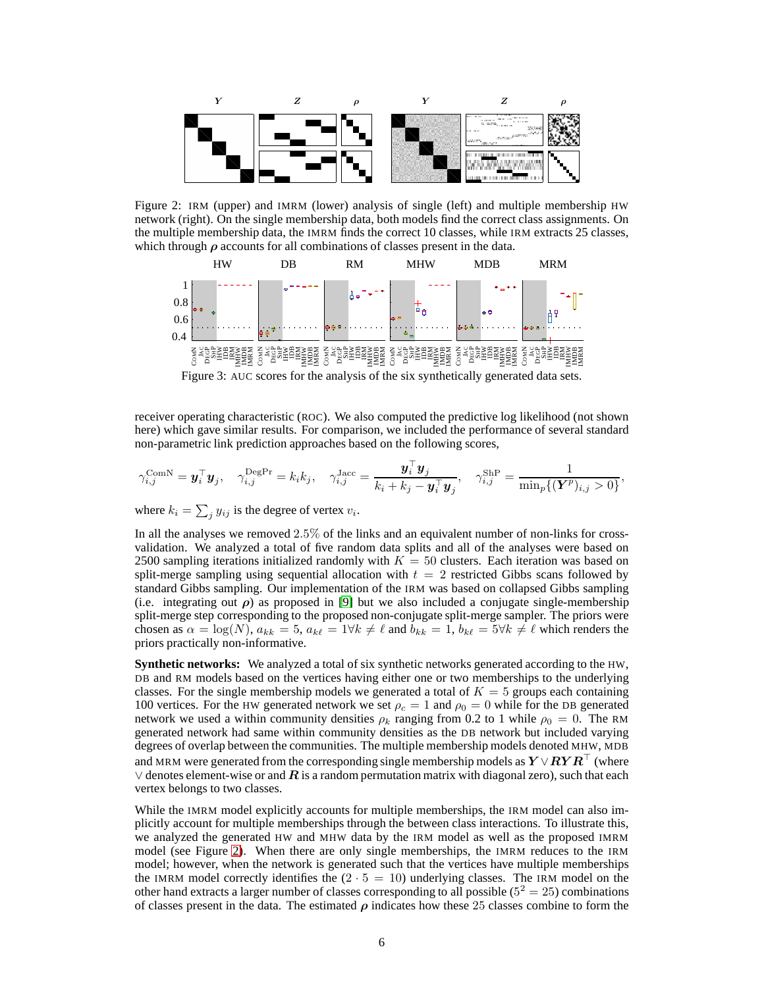

Figure 2: IRM (upper) and IMRM (lower) analysis of single (left) and multiple membership HW network (right). On the single membership data, both models find the correct class assignments. On the multiple membership data, the IMRM finds the correct 10 classes, while IRM extracts 25 classes, which through  $\rho$  accounts for all combinations of classes present in the data.

<span id="page-5-0"></span>

<span id="page-5-1"></span>Figure 3: AUC scores for the analysis of the six synthetically generated data sets.

receiver operating characteristic (ROC). We also computed the predictive log likelihood (not shown here) which gave similar results. For comparison, we included the performance of several standard non-parametric link prediction approaches based on the following scores,

$$
\gamma_{i,j}^{\text{ComN}} = \boldsymbol{y}_i^{\top} \boldsymbol{y}_j, \quad \gamma_{i,j}^{\text{DegPr}} = k_i k_j, \quad \gamma_{i,j}^{\text{Jacc}} = \frac{\boldsymbol{y}_i^{\top} \boldsymbol{y}_j}{k_i + k_j - \boldsymbol{y}_i^{\top} \boldsymbol{y}_j}, \quad \gamma_{i,j}^{\text{ShP}} = \frac{1}{\min_p \{ (\boldsymbol{Y}^p)_{i,j} > 0 \}},
$$

where  $k_i = \sum_j y_{ij}$  is the degree of vertex  $v_i$ .

In all the analyses we removed 2.5% of the links and an equivalent number of non-links for crossvalidation. We analyzed a total of five random data splits and all of the analyses were based on 2500 sampling iterations initialized randomly with  $K = 50$  clusters. Each iteration was based on split-merge sampling using sequential allocation with  $t = 2$  restricted Gibbs scans followed by standard Gibbs sampling. Our implementation of the IRM was based on collapsed Gibbs sampling (i.e. integrating out  $\rho$ ) as proposed in [\[9\]](#page-7-4) but we also included a conjugate single-membership split-merge step corresponding to the proposed non-conjugate split-merge sampler. The priors were chosen as  $\alpha = \log(N)$ ,  $a_{kk} = 5$ ,  $a_{k\ell} = 1 \forall k \neq \ell$  and  $b_{kk} = 1$ ,  $b_{k\ell} = 5 \forall k \neq \ell$  which renders the priors practically non-informative.

**Synthetic networks:** We analyzed a total of six synthetic networks generated according to the HW, DB and RM models based on the vertices having either one or two memberships to the underlying classes. For the single membership models we generated a total of  $K = 5$  groups each containing 100 vertices. For the HW generated network we set  $\rho_c = 1$  and  $\rho_0 = 0$  while for the DB generated network we used a within community densities  $\rho_k$  ranging from 0.2 to 1 while  $\rho_0 = 0$ . The RM generated network had same within community densities as the DB network but included varying degrees of overlap between the communities. The multiple membership models denoted MHW, MDB and MRM were generated from the corresponding single membership models as  $Y \vee RY R^{\top}$  (where ∨ denotes element-wise or and  $\bm{R}$  is a random permutation matrix with diagonal zero), such that each vertex belongs to two classes.

While the IMRM model explicitly accounts for multiple memberships, the IRM model can also implicitly account for multiple memberships through the between class interactions. To illustrate this, we analyzed the generated HW and MHW data by the IRM model as well as the proposed IMRM model (see Figure [2\)](#page-5-0). When there are only single memberships, the IMRM reduces to the IRM model; however, when the network is generated such that the vertices have multiple memberships the IMRM model correctly identifies the  $(2 \cdot 5 = 10)$  underlying classes. The IRM model on the other hand extracts a larger number of classes corresponding to all possible ( $5<sup>2</sup> = 25$ ) combinations of classes present in the data. The estimated  $\rho$  indicates how these 25 classes combine to form the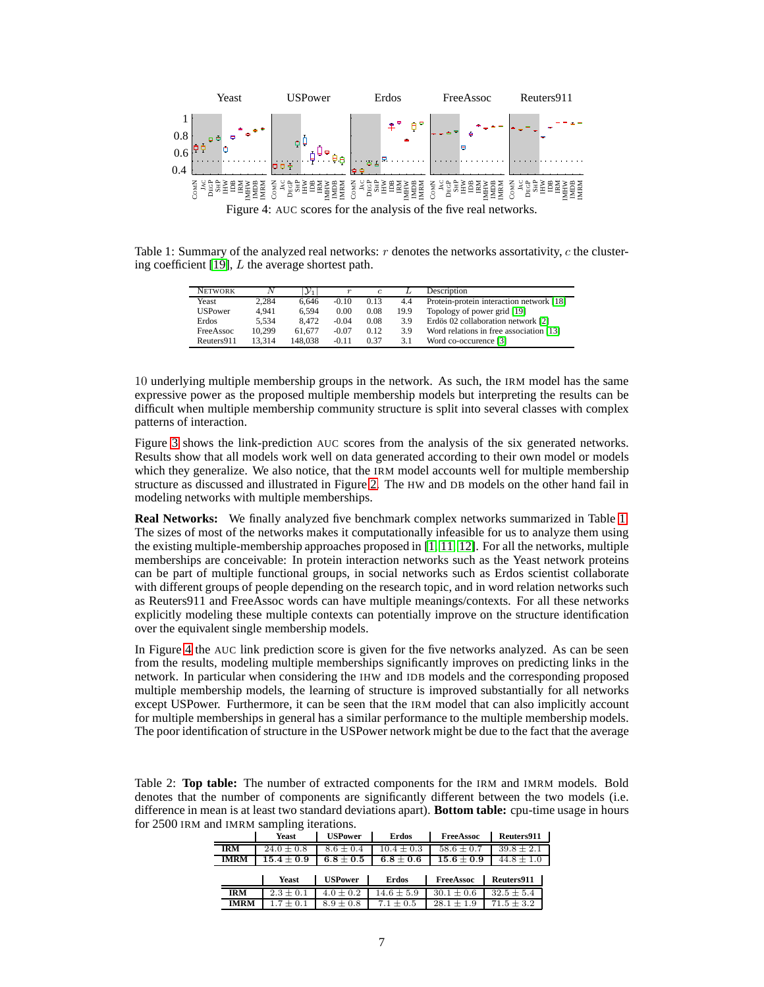

Table 1: Summary of the analyzed real networks: r denotes the networks assortativity, c the clustering coefficient  $[19]$ , L the average shortest path.

<span id="page-6-1"></span><span id="page-6-0"></span>

| <b>NETWORK</b> | Ν      | $\mathcal{Y}_1$ | $\boldsymbol{r}$ | $\epsilon$ |      | Description                              |
|----------------|--------|-----------------|------------------|------------|------|------------------------------------------|
| Yeast          | 2.284  | 6.646           | $-0.10$          | 0.13       | 4.4  | Protein-protein interaction network [18] |
| <b>USPower</b> | 4.941  | 6.594           | 0.00             | 0.08       | 19.9 | Topology of power grid [19]              |
| Erdos          | 5.534  | 8.472           | $-0.04$          | 0.08       | 3.9  | Erdös 02 collaboration network [2]       |
| FreeAssoc      | 10.299 | 61.677          | $-0.07$          | 0.12       | 3.9  | Word relations in free association [13]  |
| Reuters911     | 13.314 | 148.038         | $-0.11$          | 0.37       | 3.1  | Word co-occurence [3]                    |

10 underlying multiple membership groups in the network. As such, the IRM model has the same expressive power as the proposed multiple membership models but interpreting the results can be difficult when multiple membership community structure is split into several classes with complex patterns of interaction.

Figure [3](#page-5-1) shows the link-prediction AUC scores from the analysis of the six generated networks. Results show that all models work well on data generated according to their own model or models which they generalize. We also notice, that the IRM model accounts well for multiple membership structure as discussed and illustrated in Figure [2.](#page-5-0) The HW and DB models on the other hand fail in modeling networks with multiple memberships.

**Real Networks:** We finally analyzed five benchmark complex networks summarized in Table [1.](#page-6-0) The sizes of most of the networks makes it computationally infeasible for us to analyze them using the existing multiple-membership approaches proposed in  $[1, 11, 12]$  $[1, 11, 12]$  $[1, 11, 12]$ . For all the networks, multiple memberships are conceivable: In protein interaction networks such as the Yeast network proteins can be part of multiple functional groups, in social networks such as Erdos scientist collaborate with different groups of people depending on the research topic, and in word relation networks such as Reuters911 and FreeAssoc words can have multiple meanings/contexts. For all these networks explicitly modeling these multiple contexts can potentially improve on the structure identification over the equivalent single membership models.

In Figure [4](#page-6-1) the AUC link prediction score is given for the five networks analyzed. As can be seen from the results, modeling multiple memberships significantly improves on predicting links in the network. In particular when considering the IHW and IDB models and the corresponding proposed multiple membership models, the learning of structure is improved substantially for all networks except USPower. Furthermore, it can be seen that the IRM model that can also implicitly account for multiple memberships in general has a similar performance to the multiple membership models. The poor identification of structure in the USPower network might be due to the fact that the average

<span id="page-6-2"></span>Table 2: **Top table:** The number of extracted components for the IRM and IMRM models. Bold denotes that the number of components are significantly different between the two models (i.e. difference in mean is at least two standard deviations apart). **Bottom table:** cpu-time usage in hours for 2500 IRM and IMRM sampling iterations.

|             | <b>Yeast</b>   | <b>USPower</b> | <b>Erdos</b>   | <b>FreeAssoc</b> | Reuters911     |
|-------------|----------------|----------------|----------------|------------------|----------------|
| <b>IRM</b>  | $24.0 \pm 0.8$ | $8.6 \pm 0.4$  | $10.4 \pm 0.3$ | $58.6 + 0.7$     | $39.8 \pm 2.1$ |
| <b>IMRM</b> | $15.4 \pm 0.9$ | $6.8 \pm 0.5$  | $6.8\pm0.6$    | $15.6 \pm 0.9$   | $44.8 \pm 1.0$ |
|             |                |                |                |                  |                |
|             | <b>Yeast</b>   | <b>USPower</b> | <b>Erdos</b>   | FreeAssoc        | Reuters911     |
| <b>IRM</b>  | $2.3 + 0.1$    | $4.0 + 0.2$    | $14.6 + 5.9$   | $30.1 \pm 0.6$   | $32.5 + 5.4$   |
|             |                |                |                |                  |                |